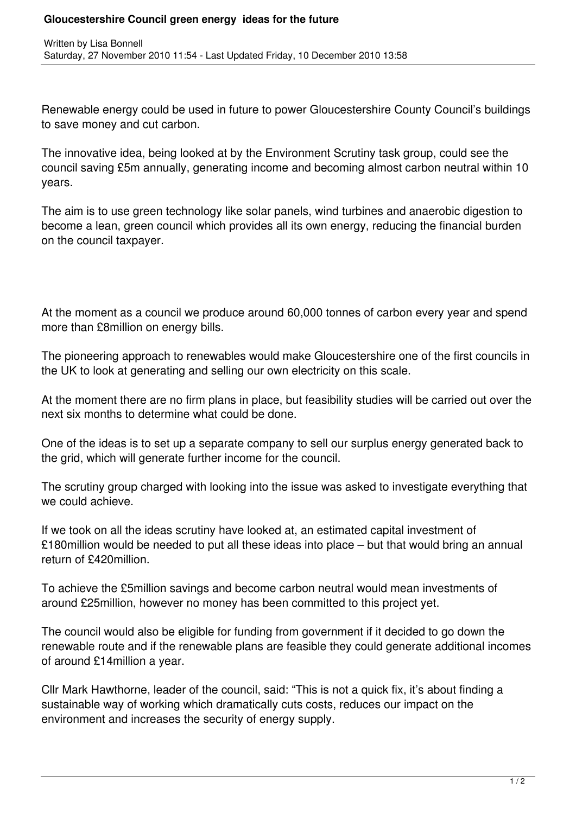## **Gloucestershire Council green energy ideas for the future**

Renewable energy could be used in future to power Gloucestershire County Council's buildings to save money and cut carbon.

The innovative idea, being looked at by the Environment Scrutiny task group, could see the council saving £5m annually, generating income and becoming almost carbon neutral within 10 years.

The aim is to use green technology like solar panels, wind turbines and anaerobic digestion to become a lean, green council which provides all its own energy, reducing the financial burden on the council taxpayer.

At the moment as a council we produce around 60,000 tonnes of carbon every year and spend more than £8million on energy bills.

The pioneering approach to renewables would make Gloucestershire one of the first councils in the UK to look at generating and selling our own electricity on this scale.

At the moment there are no firm plans in place, but feasibility studies will be carried out over the next six months to determine what could be done.

One of the ideas is to set up a separate company to sell our surplus energy generated back to the grid, which will generate further income for the council.

The scrutiny group charged with looking into the issue was asked to investigate everything that we could achieve.

If we took on all the ideas scrutiny have looked at, an estimated capital investment of £180million would be needed to put all these ideas into place – but that would bring an annual return of £420million.

To achieve the £5million savings and become carbon neutral would mean investments of around £25million, however no money has been committed to this project yet.

The council would also be eligible for funding from government if it decided to go down the renewable route and if the renewable plans are feasible they could generate additional incomes of around £14million a year.

Cllr Mark Hawthorne, leader of the council, said: "This is not a quick fix, it's about finding a sustainable way of working which dramatically cuts costs, reduces our impact on the environment and increases the security of energy supply.